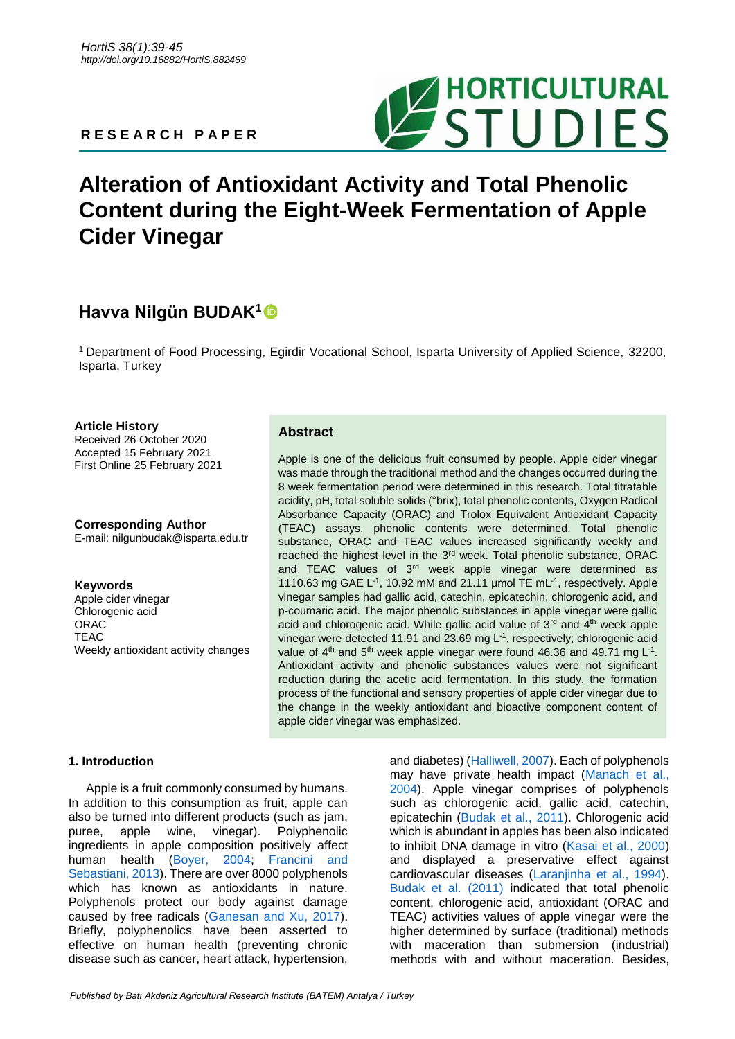**R E S E A R C H P A P E R**



# **Alteration of Antioxidant Activity and Total Phenolic Content during the Eight-Week Fermentation of Apple Cider Vinegar**

# **Havva Nilgün BUDAK<sup>1</sup>**

<sup>1</sup> Department of Food Processing, Egirdir Vocational School, Isparta University of Applied Science, 32200, Isparta, Turkey

### **Article History**

Received 26 October 2020 Accepted 15 February 2021 First Online 25 February 2021

**Corresponding Author** E-mail: nilgunbudak@isparta.edu.tr

### **Keywords**

Apple cider vinegar Chlorogenic acid ORAC **TEAC** Weekly antioxidant activity changes

## **Abstract**

Apple is one of the delicious fruit consumed by people. Apple cider vinegar was made through the traditional method and the changes occurred during the 8 week fermentation period were determined in this research. Total titratable acidity, pH, total soluble solids (°brix), total phenolic contents, Oxygen Radical Absorbance Capacity (ORAC) and Trolox Equivalent Antioxidant Capacity (TEAC) assays, phenolic contents were determined. Total phenolic substance, ORAC and TEAC values increased significantly weekly and reached the highest level in the 3<sup>rd</sup> week. Total phenolic substance, ORAC and TEAC values of 3<sup>rd</sup> week apple vinegar were determined as 1110.63 mg GAE L<sup>-1</sup>, 10.92 mM and 21.11 µmol TE mL<sup>-1</sup>, respectively. Apple vinegar samples had gallic acid, catechin, epicatechin, chlorogenic acid, and p-coumaric acid. The major phenolic substances in apple vinegar were gallic acid and chlorogenic acid. While gallic acid value of  $3<sup>rd</sup>$  and  $4<sup>th</sup>$  week apple vinegar were detected 11.91 and 23.69 mg  $L^{-1}$ , respectively; chlorogenic acid value of  $4<sup>th</sup>$  and  $5<sup>th</sup>$  week apple vinegar were found 46.36 and 49.71 mg L<sup>-1</sup>. Antioxidant activity and phenolic substances values were not significant reduction during the acetic acid fermentation. In this study, the formation process of the functional and sensory properties of apple cider vinegar due to the change in the weekly antioxidant and bioactive component content of apple cider vinegar was emphasized.

### **1. Introduction**

Apple is a fruit commonly consumed by humans. In addition to this consumption as fruit, apple can also be turned into different products (such as jam, puree, apple wine, vinegar). Polyphenolic ingredients in apple composition positively affect human health [\(Boyer, 2004;](#page-5-0) [Francini and](#page-6-0)  [Sebastiani, 2013\)](#page-6-0). There are over 8000 polyphenols which has known as antioxidants in nature. Polyphenols protect our body against damage caused by free radicals [\(Ganesan and Xu, 2017\)](#page-6-1). Briefly, polyphenolics have been asserted to effective on human health (preventing chronic disease such as cancer, heart attack, hypertension,

and diabetes) [\(Halliwell, 2007\)](#page-6-2). Each of polyphenols may have private health impact [\(Manach et al.,](#page-6-3)  [2004\)](#page-6-3). Apple vinegar comprises of polyphenols such as chlorogenic acid, gallic acid, catechin, epicatechin [\(Budak et al., 2011\)](#page-5-1). Chlorogenic acid which is abundant in apples has been also indicated to inhibit DNA damage in vitro [\(Kasai et al., 2000\)](#page-6-4) and displayed a preservative effect against cardiovascular diseases [\(Laranjinha et al., 1994\)](#page-6-5). [Budak et al. \(2011\)](#page-5-1) indicated that total phenolic content, chlorogenic acid, antioxidant (ORAC and TEAC) activities values of apple vinegar were the higher determined by surface (traditional) methods with maceration than submersion (industrial) methods with and without maceration. Besides,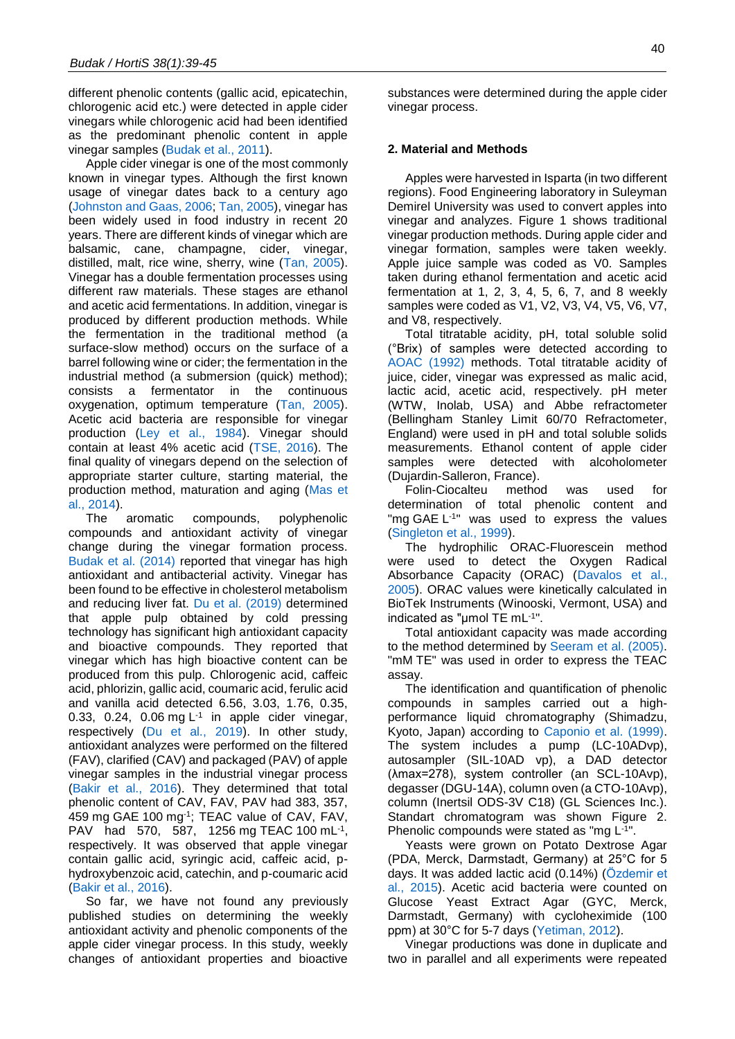different phenolic contents (gallic acid, epicatechin, chlorogenic acid etc.) were detected in apple cider vinegars while chlorogenic acid had been identified as the predominant phenolic content in apple vinegar samples [\(Budak et al., 2011\)](#page-5-1).

Apple cider vinegar is one of the most commonly known in vinegar types. Although the first known usage of vinegar dates back to a century ago [\(Johnston and Gaas, 2006;](#page-6-6) [Tan, 2005\)](#page-6-7), vinegar has been widely used in food industry in recent 20 years. There are different kinds of vinegar which are balsamic, cane, champagne, cider, vinegar, distilled, malt, rice wine, sherry, wine [\(Tan, 2005\)](#page-6-7). Vinegar has a double fermentation processes using different raw materials. These stages are ethanol and acetic acid fermentations. In addition, vinegar is produced by different production methods. While the fermentation in the traditional method (a surface-slow method) occurs on the surface of a barrel following wine or cider; the fermentation in the industrial method (a submersion (quick) method); consists a fermentator in the continuous oxygenation, optimum temperature [\(Tan, 2005\)](#page-6-7). Acetic acid bacteria are responsible for vinegar production [\(Ley et al., 1984\)](#page-6-8). Vinegar should contain at least 4% acetic acid [\(TSE, 2016\)](#page-6-9). The final quality of vinegars depend on the selection of appropriate starter culture, starting material, the production method, maturation and aging [\(Mas et](#page-6-10)  [al., 2014\)](#page-6-10).

The aromatic compounds, polyphenolic compounds and antioxidant activity of vinegar change during the vinegar formation process. [Budak et al. \(2014\)](#page-5-2) reported that vinegar has high antioxidant and antibacterial activity. Vinegar has been found to be effective in cholesterol metabolism and reducing liver fat. [Du et al. \(2019\)](#page-6-11) determined that apple pulp obtained by cold pressing technology has significant high antioxidant capacity and bioactive compounds. They reported that vinegar which has high bioactive content can be produced from this pulp. Chlorogenic acid, caffeic acid, phlorizin, gallic acid, coumaric acid, ferulic acid and vanilla acid detected 6.56, 3.03, 1.76, 0.35, 0.33, 0.24, 0.06 mg  $L^{-1}$  in apple cider vinegar, respectively [\(Du et al., 2019\)](#page-6-11). In other study, antioxidant analyzes were performed on the filtered (FAV), clarified (CAV) and packaged (PAV) of apple vinegar samples in the industrial vinegar process [\(Bakir et al., 2016\)](#page-5-3). They determined that total phenolic content of CAV, FAV, PAV had 383, 357, 459 mg GAE 100 mg-1 ; TEAC value of CAV, FAV, PAV had 570, 587, 1256 mg TEAC 100 mL<sup>-1</sup>, respectively. It was observed that apple vinegar contain gallic acid, syringic acid, caffeic acid, phydroxybenzoic acid, catechin, and p-coumaric acid [\(Bakir et al., 2016\)](#page-5-3).

So far, we have not found any previously published studies on determining the weekly antioxidant activity and phenolic components of the apple cider vinegar process. In this study, weekly changes of antioxidant properties and bioactive

substances were determined during the apple cider vinegar process.

#### **2. Material and Methods**

Apples were harvested in Isparta (in two different regions). Food Engineering laboratory in Suleyman Demirel University was used to convert apples into vinegar and analyzes. Figure 1 shows traditional vinegar production methods. During apple cider and vinegar formation, samples were taken weekly. Apple juice sample was coded as V0. Samples taken during ethanol fermentation and acetic acid fermentation at 1, 2, 3, 4, 5, 6, 7, and 8 weekly samples were coded as V1, V2, V3, V4, V5, V6, V7, and V8, respectively.

Total titratable acidity, pH, total soluble solid (°Brix) of samples were detected according to [AOAC \(1992\)](#page-5-4) methods. Total titratable acidity of juice, cider, vinegar was expressed as malic acid, lactic acid, acetic acid, respectively. pH meter (WTW, Inolab, USA) and Abbe refractometer (Bellingham Stanley Limit 60/70 Refractometer, England) were used in pH and total soluble solids measurements. Ethanol content of apple cider samples were detected with alcoholometer (Dujardin-Salleron, France).

Folin-Ciocalteu method was used for determination of total phenolic content and "mg GAE L<sup>-1</sup>" was used to express the values [\(Singleton et al., 1999\)](#page-6-12).

The hydrophilic ORAC-Fluorescein method were used to detect the Oxygen Radical Absorbance Capacity (ORAC) [\(Davalos et al.,](#page-6-13)  [2005\)](#page-6-13). ORAC values were kinetically calculated in BioTek Instruments (Winooski, Vermont, USA) and indicated as "µmol TE mL-1 ".

Total antioxidant capacity was made according to the method determined by [Seeram et al. \(2005\).](#page-6-14) "mM TE" was used in order to express the TEAC assay.

The identification and quantification of phenolic compounds in samples carried out a highperformance liquid chromatography (Shimadzu, Kyoto, Japan) according to [Caponio et al. \(1999\).](#page-5-5) The system includes a pump (LC-10ADvp), autosampler (SIL-10AD vp), a DAD detector (λmax=278), system controller (an SCL-10Avp), degasser (DGU-14A), column oven (a CTO-10Avp), column (Inertsil ODS-3V C18) (GL Sciences Inc.). Standart chromatogram was shown Figure 2. Phenolic compounds were stated as "mg L<sup>-1"</sup>.

Yeasts were grown on Potato Dextrose Agar (PDA, Merck, Darmstadt, Germany) at 25°C for 5 days. It was added lactic acid (0.14%) [\(Özdemir et](#page-6-15)  [al., 2015\)](#page-6-15). Acetic acid bacteria were counted on Glucose Yeast Extract Agar (GYC, Merck, Darmstadt, Germany) with cycloheximide (100 ppm) at 30°C for 5-7 days [\(Yetiman, 2012\)](#page-6-16).

Vinegar productions was done in duplicate and two in parallel and all experiments were repeated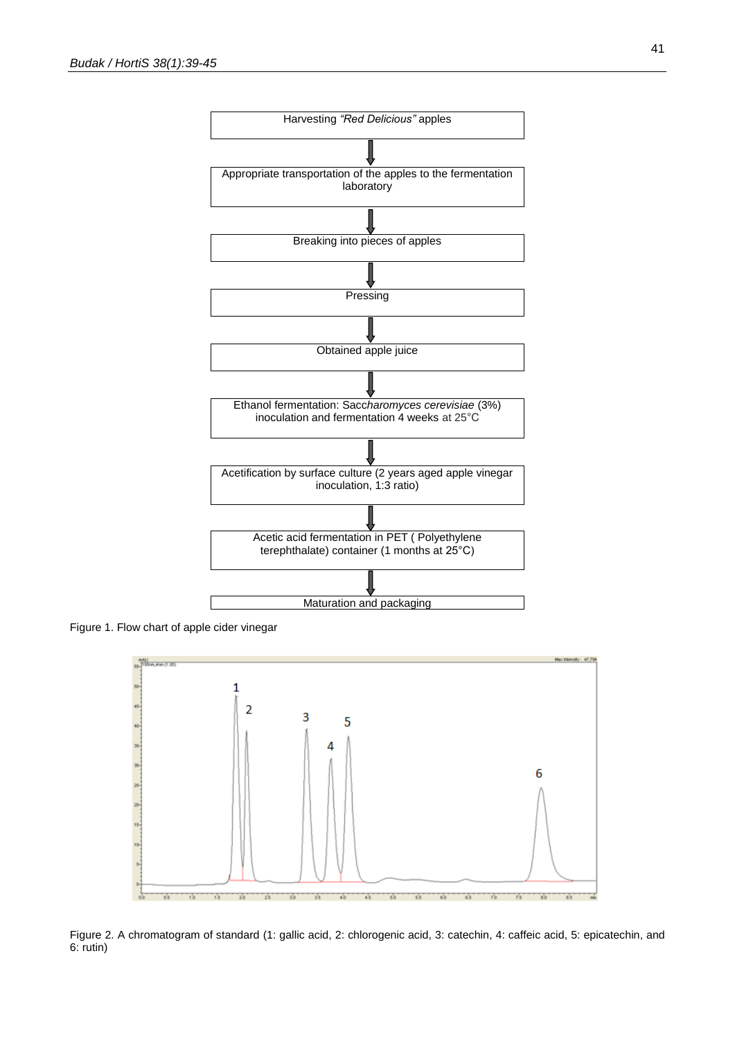

Figure 1. Flow chart of apple cider vinegar



Figure 2. A chromatogram of standard (1: gallic acid, 2: chlorogenic acid, 3: catechin, 4: caffeic acid, 5: epicatechin, and 6: rutin)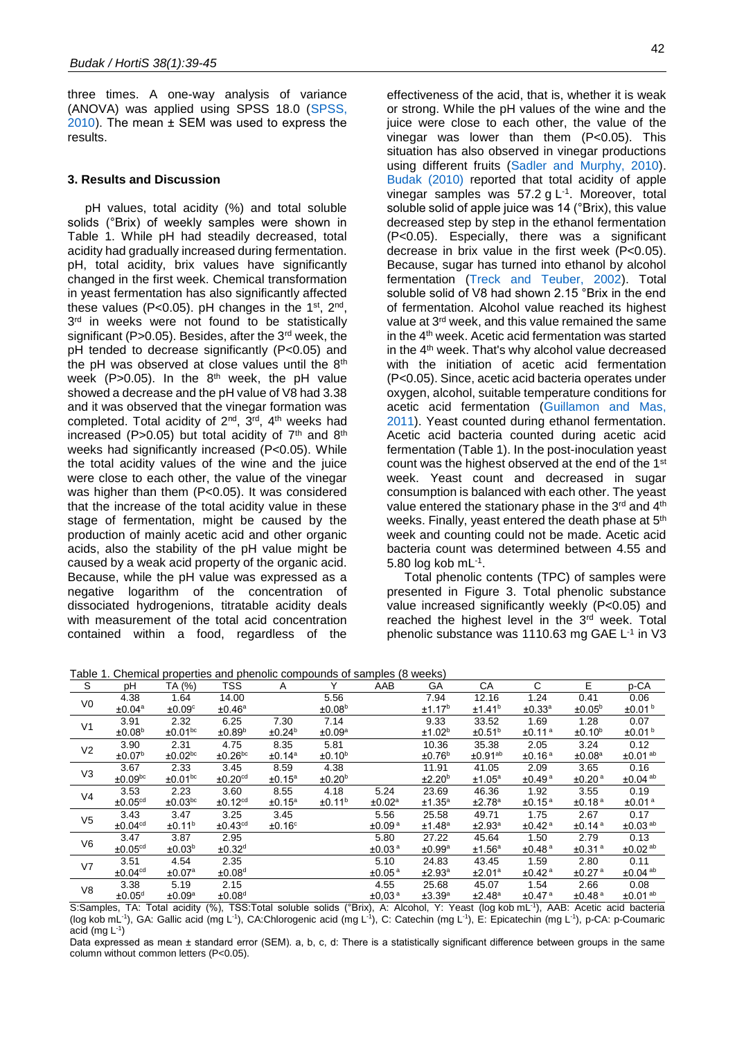three times. A one-way analysis of variance (ANOVA) was applied using SPSS 18.0 [\(SPSS,](#page-6-7)  [2010\)](#page-6-7). The mean ± SEM was used to express the results.

#### **3. Results and Discussion**

pH values, total acidity (%) and total soluble solids (°Brix) of weekly samples were shown in Table 1. While pH had steadily decreased, total acidity had gradually increased during fermentation. pH, total acidity, brix values have significantly changed in the first week. Chemical transformation in yeast fermentation has also significantly affected these values (P<0.05). pH changes in the 1<sup>st</sup>, 2<sup>nd</sup>, 3<sup>rd</sup> in weeks were not found to be statistically significant (P>0.05). Besides, after the 3<sup>rd</sup> week, the pH tended to decrease significantly (P<0.05) and the pH was observed at close values until the 8<sup>th</sup> week (P>0.05). In the  $8<sup>th</sup>$  week, the pH value showed a decrease and the pH value of V8 had 3.38 and it was observed that the vinegar formation was completed. Total acidity of  $2^{nd}$ ,  $3^{rd}$ ,  $4^{th}$  weeks had increased (P>0.05) but total acidity of  $7<sup>th</sup>$  and  $8<sup>th</sup>$ weeks had significantly increased (P<0.05). While the total acidity values of the wine and the juice were close to each other, the value of the vinegar was higher than them (P<0.05). It was considered that the increase of the total acidity value in these stage of fermentation, might be caused by the production of mainly acetic acid and other organic acids, also the stability of the pH value might be caused by a weak acid property of the organic acid. Because, while the pH value was expressed as a negative logarithm of the concentration of dissociated hydrogenions, titratable acidity deals with measurement of the total acid concentration contained within a food, regardless of the

effectiveness of the acid, that is, whether it is weak or strong. While the pH values of the wine and the juice were close to each other, the value of the vinegar was lower than them (P<0.05). This situation has also observed in vinegar productions using different fruits [\(Sadler and Murphy, 2010\)](#page-6-17). [Budak \(2010\)](#page-5-6) reported that total acidity of apple vinegar samples was  $57.2$  g L<sup>-1</sup>. Moreover, total soluble solid of apple juice was 14 (°Brix), this value decreased step by step in the ethanol fermentation (P<0.05). Especially, there was a significant decrease in brix value in the first week (P<0.05). Because, sugar has turned into ethanol by alcohol fermentation [\(Treck and Teuber, 2002\)](#page-6-18). Total soluble solid of V8 had shown 2.15 °Brix in the end of fermentation. Alcohol value reached its highest value at 3rd week, and this value remained the same in the 4th week. Acetic acid fermentation was started in the 4th week. That's why alcohol value decreased with the initiation of acetic acid fermentation (P<0.05). Since, acetic acid bacteria operates under oxygen, alcohol, suitable temperature conditions for acetic acid fermentation [\(Guillamon and Mas,](#page-6-19)  [2011\)](#page-6-19). Yeast counted during ethanol fermentation. Acetic acid bacteria counted during acetic acid fermentation (Table 1). In the post-inoculation yeast count was the highest observed at the end of the 1st week. Yeast count and decreased in sugar consumption is balanced with each other. The yeast value entered the stationary phase in the 3rd and 4th weeks. Finally, yeast entered the death phase at 5<sup>th</sup> week and counting could not be made. Acetic acid bacteria count was determined between 4.55 and 5.80 log kob mL-1.

Total phenolic contents (TPC) of samples were presented in Figure 3. Total phenolic substance value increased significantly weekly (P<0.05) and reached the highest level in the 3rd week. Total phenolic substance was 1110.63 mg GAE L<sup>-1</sup> in V3

Table 1. Chemical properties and phenolic compounds of samples (8 weeks)

| S              | pH                    | TA (%)                | <b>TSS</b>            | A                  |                    | AAB                | GА                 | СA                  | C                  | E                  | p-CA                     |
|----------------|-----------------------|-----------------------|-----------------------|--------------------|--------------------|--------------------|--------------------|---------------------|--------------------|--------------------|--------------------------|
| V <sub>0</sub> | 4.38                  | 1.64                  | 14.00                 |                    | 5.56               |                    | 7.94               | 12.16               | 1.24               | 0.41               | 0.06                     |
|                | ±0.04 <sup>a</sup>    | ±0.09 <sup>c</sup>    | ±0.46 <sup>a</sup>    |                    | ±0.08 <sup>b</sup> |                    | ±1.17 <sup>b</sup> | ±1.41 <sup>b</sup>  | ±0.33 <sup>a</sup> | ±0.05 <sup>b</sup> | ±0.01 <sup>b</sup>       |
| V <sub>1</sub> | 3.91                  | 2.32                  | 6.25                  | 7.30               | 7.14               |                    | 9.33               | 33.52               | 1.69               | 1.28               | 0.07                     |
|                | ±0.08 <sup>b</sup>    | ±0.01 <sup>bc</sup>   | ±0.89 <sup>b</sup>    | ±0.24 <sup>b</sup> | ±0.09 <sup>a</sup> |                    | ±1.02 <sup>b</sup> | ±0.51 <sup>b</sup>  | ±0.11 <sup>a</sup> | ±0.10 <sup>b</sup> | ±0.01 <sup>b</sup>       |
| V <sub>2</sub> | 3.90                  | 2.31                  | 4.75                  | 8.35               | 5.81               |                    | 10.36              | 35.38               | 2.05               | 3.24               | 0.12                     |
|                | ±0.07 <sup>b</sup>    | $±0.02$ <sub>bc</sub> | $±0.26$ <sup>bc</sup> | ±0.14 <sup>a</sup> | ±0.10 <sup>b</sup> |                    | ±0.76 <sup>b</sup> | ±0.91 <sup>ab</sup> | ±0.16 <sup>a</sup> | ±0.08 <sup>a</sup> | ±0.01 <sup>ab</sup>      |
| V <sub>3</sub> | 3.67                  | 2.33                  | 3.45                  | 8.59               | 4.38               |                    | 11.91              | 41.05               | 2.09               | 3.65               | 0.16                     |
|                | $±0.09$ <sub>pc</sub> | ±0.01 <sup>bc</sup>   | ±0.20 <sup>cd</sup>   | ±0.15 <sup>a</sup> | ±0.20 <sup>b</sup> |                    | ±2.20 <sup>b</sup> | ±1.05 <sup>a</sup>  | ±0.49 <sup>a</sup> | ±0.20 <sup>a</sup> | $±0.04$ <sup>ab</sup>    |
| V4             | 3.53                  | 2.23                  | 3.60                  | 8.55               | 4.18               | 5.24               | 23.69              | 46.36               | 1.92               | 3.55               | 0.19                     |
|                | ±0.05 <sup>cd</sup>   | $±0.03$ <sup>bc</sup> | ±0.12 <sup>cd</sup>   | ±0.15 <sup>a</sup> | ±0.11 <sup>b</sup> | ±0.02 <sup>a</sup> | ±1.35 <sup>a</sup> | ±2.78 <sup>a</sup>  | ±0.15 <sup>a</sup> | ±0.18 <sup>a</sup> | ±0.01 <sup>a</sup>       |
| V <sub>5</sub> | 3.43                  | 3.47                  | 3.25                  | 3.45               |                    | 5.56               | 25.58              | 49.71               | 1.75               | 2.67               | 0.17                     |
|                | ±0.04 <sup>cd</sup>   | ±0.11 <sup>b</sup>    | ±0.43 <sup>cd</sup>   | ±0.16°             |                    | ±0.09 <sup>a</sup> | ±1.48 <sup>a</sup> | ±2.93 <sup>a</sup>  | ±0.42 <sup>a</sup> | ±0.14 <sup>a</sup> | $\pm 0.03$ <sup>ab</sup> |
| V6             | 3.47                  | 3.87                  | 2.95                  |                    |                    | 5.80               | 27.22              | 45.64               | 1.50               | 2.79               | 0.13                     |
|                | ±0.05 <sup>cd</sup>   | ±0.03 <sup>b</sup>    | ±0.32 <sup>d</sup>    |                    |                    | ±0.03 <sup>a</sup> | ±0.99 <sup>a</sup> | ±1.56 <sup>a</sup>  | ±0.48 <sup>a</sup> | ±0.31 <sup>a</sup> | $\pm$ 0.02 <sup>ab</sup> |
| V <sub>7</sub> | 3.51                  | 4.54                  | 2.35                  |                    |                    | 5.10               | 24.83              | 43.45               | 1.59               | 2.80               | 0.11                     |
|                | ±0.04 <sup>cd</sup>   | ±0.07 <sup>a</sup>    | ±0.08 <sup>d</sup>    |                    |                    | ±0.05 <sup>a</sup> | ±2.93 <sup>a</sup> | ±2.01 <sup>a</sup>  | ±0.42 <sup>a</sup> | ±0.27 <sup>a</sup> | $\pm 0.04$ <sup>ab</sup> |
| V <sub>8</sub> | 3.38                  | 5.19                  | 2.15                  |                    |                    | 4.55               | 25.68              | 45.07               | 1.54               | 2.66               | 0.08                     |
|                | ±0.05 <sup>d</sup>    | ±0.09 <sup>a</sup>    | ±0.08 <sup>d</sup>    |                    |                    | ±0.03 <sup>a</sup> | ±3.39 <sup>a</sup> | ±2.48 <sup>a</sup>  | ±0.47 <sup>a</sup> | ±0.48 <sup>a</sup> | $\pm$ 0.01 <sup>ab</sup> |

S:Samples, TA: Total acidity (%), TSS:Total soluble solids (°Brix), A: Alcohol, Y: Yeast (log kob mL-1 ), AAB: Acetic acid bacteria (log kob mL<sup>-1</sup>), GA: Gallic acid (mg L<sup>-1</sup>), CA:Chlorogenic acid (mg L<sup>-1</sup>), C: Catechin (mg L<sup>-1</sup>), E: Epicatechin (mg L<sup>-1</sup>), p-CA: p-Coumaric acid (mg  $L^{-1}$ )

Data expressed as mean ± standard error (SEM). a, b, c, d: There is a statistically significant difference between groups in the same column without common letters (P<0.05).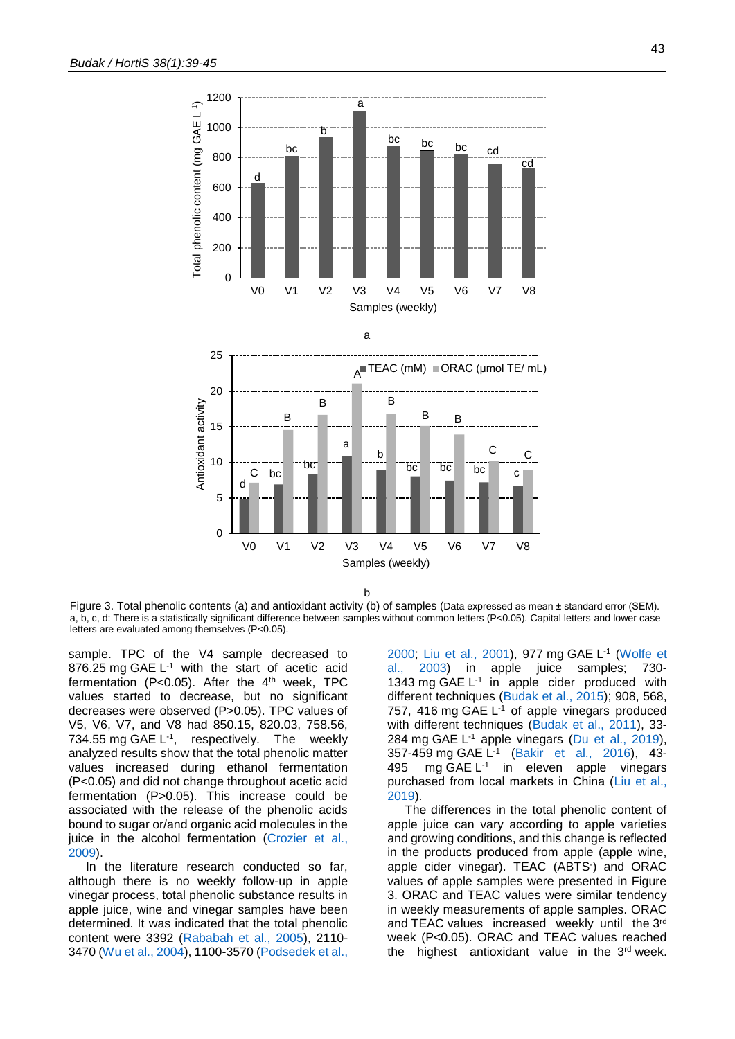

b

Figure 3. Total phenolic contents (a) and antioxidant activity (b) of samples (Data expressed as mean ± standard error (SEM). a, b, c, d: There is a statistically significant difference between samples without common letters (P<0.05). Capital letters and lower case letters are evaluated among themselves (P<0.05).

sample. TPC of the V4 sample decreased to 876.25 mg GAE  $L^{-1}$  with the start of acetic acid fermentation (P<0.05). After the  $4<sup>th</sup>$  week, TPC values started to decrease, but no significant decreases were observed (P>0.05). TPC values of V5, V6, V7, and V8 had 850.15, 820.03, 758.56, 734.55 mg GAE L<sup>-1</sup>, respectively. The weekly analyzed results show that the total phenolic matter values increased during ethanol fermentation (P<0.05) and did not change throughout acetic acid fermentation (P>0.05). This increase could be associated with the release of the phenolic acids bound to sugar or/and organic acid molecules in the juice in the alcohol fermentation (Crozier et al., [2009\)](#page-5-7).

In the literature research conducted so far, although there is no weekly follow-up in apple vinegar process, total phenolic substance results in apple juice, wine and vinegar samples have been determined. It was indicated that the total phenolic content were 3392 [\(Rababah et al., 2005\)](#page-6-20), 2110- 3470 [\(Wu et al., 2004\)](#page-6-21), 1100-3570 [\(Podsedek et al.,](#page-6-15) [2000;](#page-6-15) [Liu et al., 2001\)](#page-6-22), 977 mg GAE L<sup>1</sup> (Wolfe et [al., 2003\)](#page-6-23) in apple juice samples; 730- 1343 mg GAE L -1 in apple cider produced with different techniques [\(Budak et al., 2015\)](#page-5-8); 908, 568, 757, 416 mg GAE L -1 of apple vinegars produced with different techniques [\(Budak et al., 2011\)](#page-5-1), 33- 284 mg GAE L<sup>-1</sup> apple vinegars [\(Du et al., 2019\)](#page-6-11), 357-459 mg GAE L -1 (Bakir et [al., 2016\)](#page-5-3), 43- 495 mg GAE L<sup>-1</sup> in eleven apple vinegars purchased from local markets in China [\(Liu et al.,](#page-6-24)  [2019\)](#page-6-24).

The differences in the total phenolic content of apple juice can vary according to apple varieties and growing conditions, and this change is reflected in the products produced from apple (apple wine, apple cider vinegar). TEAC (ABTS- ) and ORAC values of apple samples were presented in Figure 3. ORAC and TEAC values were similar tendency in weekly measurements of apple samples. ORAC and TEAC values increased weekly until the 3rd week (P<0.05). ORAC and TEAC values reached the highest antioxidant value in the  $3<sup>rd</sup>$  week.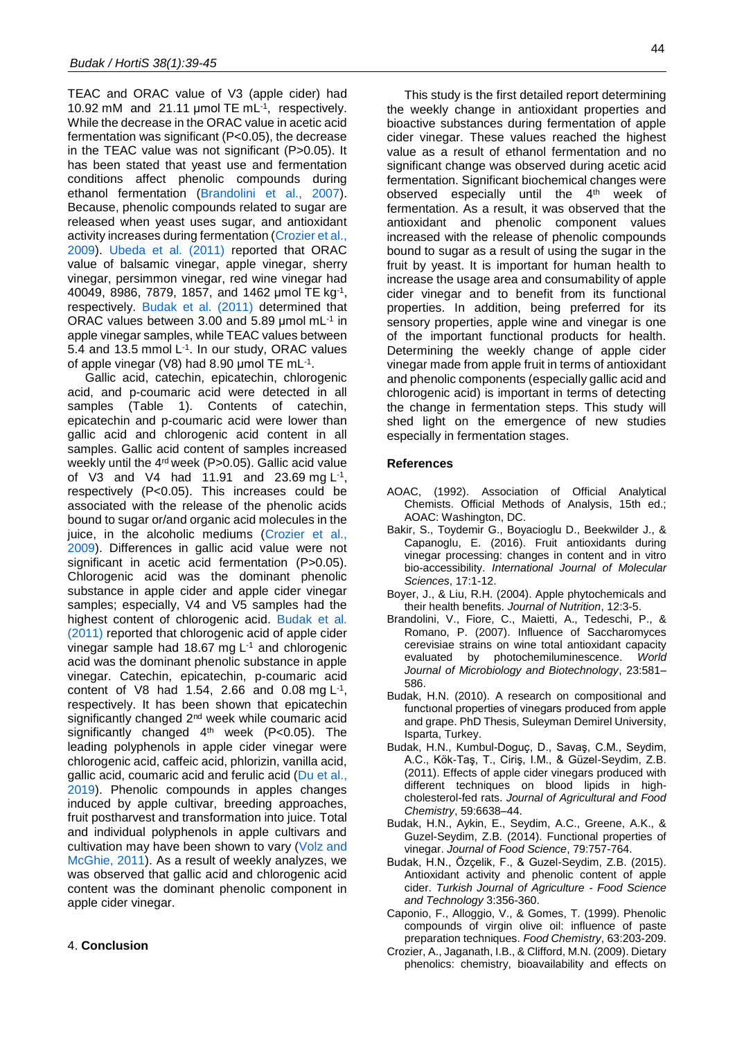TEAC and ORAC value of V3 (apple cider) had 10.92 mM and 21.11 µmol TE mL-1 , respectively. While the decrease in the ORAC value in acetic acid fermentation was significant (P<0.05), the decrease in the TEAC value was not significant (P>0.05). It has been stated that yeast use and fermentation conditions affect phenolic compounds during ethanol fermentation [\(Brandolini et al., 2007\)](#page-5-9). Because, phenolic compounds related to sugar are released when yeast uses sugar, and antioxidant activity increases during fermentation [\(Crozier et al.,](#page-5-7)  [2009\)](#page-5-7). [Ubeda et al. \(2011\)](#page-6-25) reported that ORAC value of balsamic vinegar, apple vinegar, sherry vinegar, persimmon vinegar, red wine vinegar had 40049, 8986, 7879, 1857, and 1462 µmol TE kg-1 , respectively. [Budak et al. \(2011\)](#page-5-1) determined that ORAC values between 3.00 and 5.89  $\mu$ mol mL $^{-1}$  in apple vinegar samples, while TEAC values between 5.4 and 13.5 mmol  $L^{-1}$ . In our study, ORAC values of apple vinegar (V8) had 8.90  $\mu$ mol TE mL $^{-1}$ .

Gallic acid, catechin, epicatechin, chlorogenic acid, and p-coumaric acid were detected in all samples (Table 1). Contents of catechin, epicatechin and p-coumaric acid were lower than gallic acid and chlorogenic acid content in all samples. Gallic acid content of samples increased weekly until the 4<sup>rd</sup> week (P>0.05). Gallic acid value of V3 and V4 had 11.91 and 23.69 mg  $L^{-1}$ , respectively (P<0.05). This increases could be associated with the release of the phenolic acids bound to sugar or/and organic acid molecules in the juice, in the alcoholic mediums (Crozier et al., [2009\)](#page-5-7). Differences in gallic acid value were not significant in acetic acid fermentation (P>0.05). Chlorogenic acid was the dominant phenolic substance in apple cider and apple cider vinegar samples; especially, V4 and V5 samples had the highest content of chlorogenic acid. [Budak et al.](#page-5-1)  [\(2011\)](#page-5-1) reported that chlorogenic acid of apple cider vinegar sample had 18.67 mg  $L<sup>-1</sup>$  and chlorogenic acid was the dominant phenolic substance in apple vinegar. Catechin, epicatechin, p-coumaric acid content of  $\sqrt{8}$  had 1.54, 2.66 and 0.08 mg L<sup>-1</sup>, respectively. It has been shown that epicatechin significantly changed 2<sup>nd</sup> week while coumaric acid significantly changed 4<sup>th</sup> week (P<0.05). The leading polyphenols in apple cider vinegar were chlorogenic acid, caffeic acid, phlorizin, vanilla acid, gallic acid, coumaric acid and ferulic acid [\(Du et al.,](#page-6-11)  [2019\)](#page-6-11). Phenolic compounds in apples changes induced by apple cultivar, breeding approaches, fruit postharvest and transformation into juice. Total and individual polyphenols in apple cultivars and cultivation may have been shown to vary [\(Volz and](#page-6-26)  [McGhie, 2011\)](#page-6-26). As a result of weekly analyzes, we was observed that gallic acid and chlorogenic acid content was the dominant phenolic component in apple cider vinegar.

This study is the first detailed report determining the weekly change in antioxidant properties and bioactive substances during fermentation of apple cider vinegar. These values reached the highest value as a result of ethanol fermentation and no significant change was observed during acetic acid fermentation. Significant biochemical changes were observed especially until the 4<sup>th</sup> week of fermentation. As a result, it was observed that the antioxidant and phenolic component values increased with the release of phenolic compounds bound to sugar as a result of using the sugar in the fruit by yeast. It is important for human health to increase the usage area and consumability of apple cider vinegar and to benefit from its functional properties. In addition, being preferred for its sensory properties, apple wine and vinegar is one of the important functional products for health. Determining the weekly change of apple cider vinegar made from apple fruit in terms of antioxidant and phenolic components (especially gallic acid and chlorogenic acid) is important in terms of detecting the change in fermentation steps. This study will shed light on the emergence of new studies especially in fermentation stages.

#### **References**

- <span id="page-5-4"></span>AOAC, (1992). Association of Official Analytical Chemists. Official Methods of Analysis, 15th ed.; AOAC: Washington, DC.
- <span id="page-5-3"></span>Bakir, S., Toydemir G., Boyacioglu D., Beekwilder J., & Capanoglu, E. (2016). Fruit antioxidants during vinegar processing: changes in content and in vitro bio-accessibility. *International Journal of Molecular Sciences*, 17:1-12.
- <span id="page-5-0"></span>Boyer, J., & Liu, R.H. (2004). Apple phytochemicals and their health benefits. *Journal of Nutrition*, 12:3-5.
- <span id="page-5-9"></span>Brandolini, V., Fiore, C., Maietti, A., Tedeschi, P., & Romano, P. (2007). Influence of Saccharomyces cerevisiae strains on wine total antioxidant capacity evaluated by photochemiluminescence. *World Journal of Microbiology and Biotechnology*, 23:581– 586.
- <span id="page-5-6"></span>Budak, H.N. (2010). A research on compositional and functıonal properties of vinegars produced from apple and grape. PhD Thesis, Suleyman Demirel University, Isparta, Turkey.
- <span id="page-5-1"></span>Budak, H.N., Kumbul-Doguç, D., Savaş, C.M., Seydim, A.C., Kök-Taş, T., Ciriş, I.M., & Güzel-Seydim, Z.B. (2011). Effects of apple cider vinegars produced with different techniques on blood lipids in highcholesterol-fed rats. *Journal of Agricultural and Food Chemistry*, 59:6638–44.
- <span id="page-5-2"></span>Budak, H.N., Aykin, E., Seydim, A.C., Greene, A.K., & Guzel-Seydim, Z.B. (2014). Functional properties of vinegar. *Journal of Food Science*, 79:757-764.
- <span id="page-5-8"></span>Budak, H.N., Özçelik, F., & Guzel-Seydim, Z.B. (2015). Antioxidant activity and phenolic content of apple cider. *Turkish Journal of Agriculture - Food Science and Technology* 3:356-360.
- <span id="page-5-5"></span>Caponio, F., Alloggio, V., & Gomes, T. (1999). Phenolic compounds of virgin olive oil: influence of paste preparation techniques. *Food Chemistry*, 63:203-209.
- <span id="page-5-7"></span>Crozier, A., Jaganath, I.B., & Clifford, M.N. (2009). Dietary phenolics: chemistry, bioavailability and effects on